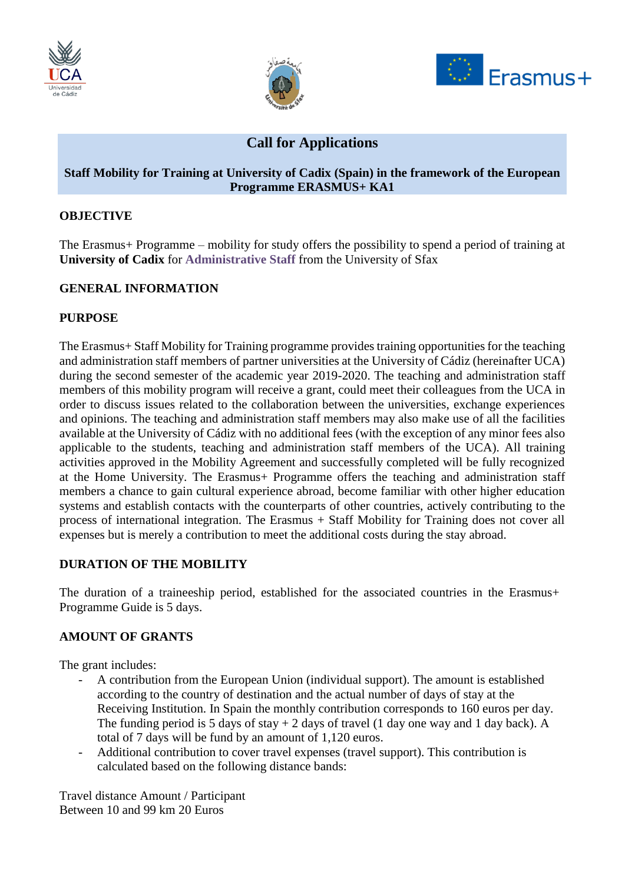





# **Call for Applications**

### **Staff Mobility for Training at University of Cadix (Spain) in the framework of the European Programme ERASMUS+ KA1**

## **OBJECTIVE**

The Erasmus+ Programme – mobility for study offers the possibility to spend a period of training at **University of Cadix** for **Administrative Staff** from the University of Sfax

## **GENERAL INFORMATION**

### **PURPOSE**

The Erasmus+ Staff Mobility for Training programme provides training opportunities for the teaching and administration staff members of partner universities at the University of Cádiz (hereinafter UCA) during the second semester of the academic year 2019-2020. The teaching and administration staff members of this mobility program will receive a grant, could meet their colleagues from the UCA in order to discuss issues related to the collaboration between the universities, exchange experiences and opinions. The teaching and administration staff members may also make use of all the facilities available at the University of Cádiz with no additional fees (with the exception of any minor fees also applicable to the students, teaching and administration staff members of the UCA). All training activities approved in the Mobility Agreement and successfully completed will be fully recognized at the Home University. The Erasmus+ Programme offers the teaching and administration staff members a chance to gain cultural experience abroad, become familiar with other higher education systems and establish contacts with the counterparts of other countries, actively contributing to the process of international integration. The Erasmus + Staff Mobility for Training does not cover all expenses but is merely a contribution to meet the additional costs during the stay abroad.

## **DURATION OF THE MOBILITY**

The duration of a traineeship period, established for the associated countries in the Erasmus+ Programme Guide is 5 days.

## **AMOUNT OF GRANTS**

The grant includes:

- A contribution from the European Union (individual support). The amount is established according to the country of destination and the actual number of days of stay at the Receiving Institution. In Spain the monthly contribution corresponds to 160 euros per day. The funding period is 5 days of stay  $+ 2$  days of travel (1 day one way and 1 day back). A total of 7 days will be fund by an amount of 1,120 euros.
- Additional contribution to cover travel expenses (travel support). This contribution is calculated based on the following distance bands:

Travel distance Amount / Participant Between 10 and 99 km 20 Euros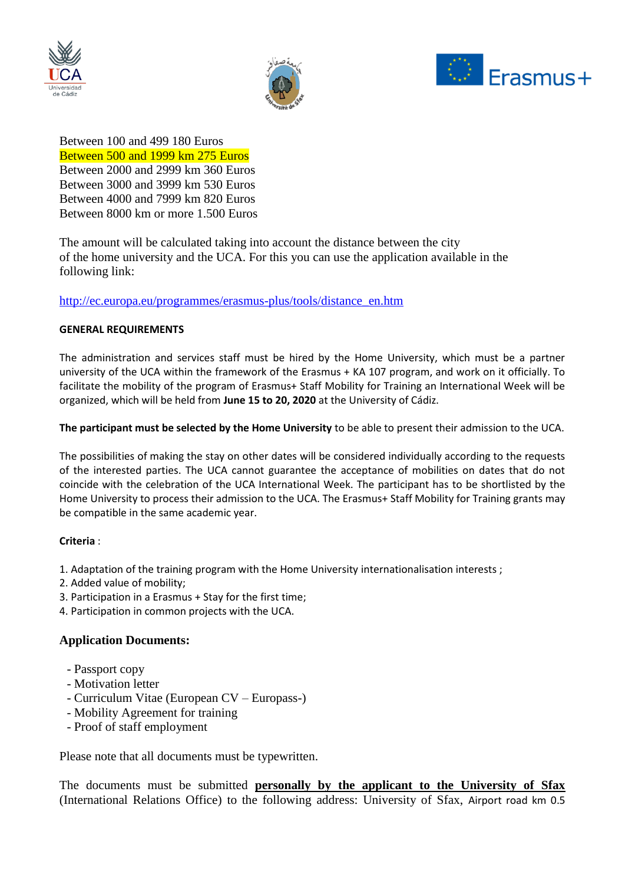





Between 100 and 499 180 Euros Between 500 and 1999 km 275 Euros Between 2000 and 2999 km 360 Euros Between 3000 and 3999 km 530 Euros Between 4000 and 7999 km 820 Euros Between 8000 km or more 1.500 Euros

The amount will be calculated taking into account the distance between the city of the home university and the UCA. For this you can use the application available in the following link:

### [http://ec.europa.eu/programmes/erasmus-plus/tools/distance\\_en.htm](http://ec.europa.eu/programmes/erasmus-plus/tools/distance_en.htm)

#### **GENERAL REQUIREMENTS**

The administration and services staff must be hired by the Home University, which must be a partner university of the UCA within the framework of the Erasmus + KA 107 program, and work on it officially. To facilitate the mobility of the program of Erasmus+ Staff Mobility for Training an International Week will be organized, which will be held from **June 15 to 20, 2020** at the University of Cádiz.

**The participant must be selected by the Home University** to be able to present their admission to the UCA.

The possibilities of making the stay on other dates will be considered individually according to the requests of the interested parties. The UCA cannot guarantee the acceptance of mobilities on dates that do not coincide with the celebration of the UCA International Week. The participant has to be shortlisted by the Home University to process their admission to the UCA. The Erasmus+ Staff Mobility for Training grants may be compatible in the same academic year.

### **Criteria** :

- 1. Adaptation of the training program with the Home University internationalisation interests ;
- 2. Added value of mobility;
- 3. Participation in a Erasmus + Stay for the first time;
- 4. Participation in common projects with the UCA.

### **Application Documents:**

- Passport copy
- Motivation letter
- Curriculum Vitae (European CV Europass-)
- Mobility Agreement for training
- Proof of staff employment

Please note that all documents must be typewritten.

The documents must be submitted **personally by the applicant to the University of Sfax**  (International Relations Office) to the following address: University of Sfax, Airport road km 0.5